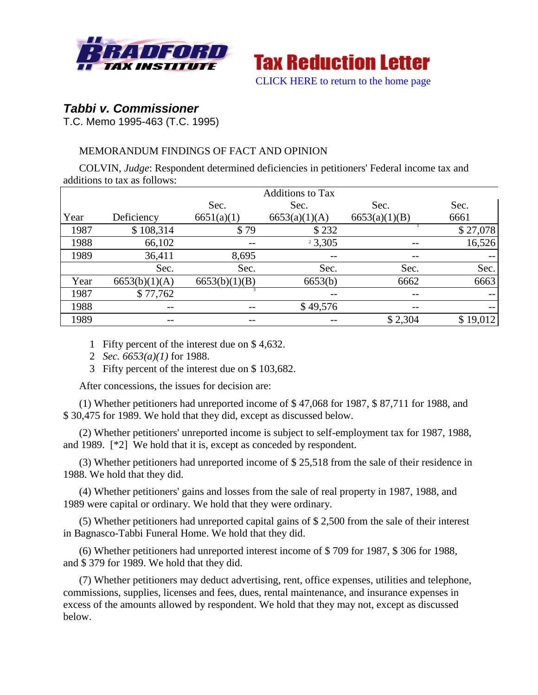



*Tabbi v. Commissioner*

T.C. Memo 1995-463 (T.C. 1995)

# MEMORANDUM FINDINGS OF FACT AND OPINION

COLVIN, *Judge*: Respondent determined deficiencies in petitioners' Federal income tax and additions to tax as follows:

|      |               |               | <b>Additions to Tax</b> |               |                   |
|------|---------------|---------------|-------------------------|---------------|-------------------|
|      |               | Sec.          | Sec.                    | Sec.          | Sec.              |
| Year | Deficiency    | 6651(a)(1)    | 6653(a)(1)(A)           | 6653(a)(1)(B) | 6661              |
| 1987 | \$108,314     | \$79          | \$232                   |               | \$27,078          |
| 1988 | 66,102        |               | 23,305                  |               | 16,526            |
| 1989 | 36,411        | 8,695         |                         |               |                   |
|      | Sec.          | Sec.          | Sec.                    | Sec.          | Sec.              |
| Year | 6653(b)(1)(A) | 6653(b)(1)(B) | 6653(b)                 | 6662          | 6663              |
| 1987 | \$77,762      |               | $- -$                   | $- -$         | $\qquad \qquad -$ |
| 1988 | $- -$         | --            | \$49,576                | $- -$         | $- -$             |
| 1989 | --            | --            |                         | \$2,304       | \$19,012          |

- 1 Fifty percent of the interest due on \$ 4,632.
- 2 *Sec. 6653(a)(1)* for 1988.
- 3 Fifty percent of the interest due on \$ 103,682.

After concessions, the issues for decision are:

(1) Whether petitioners had unreported income of \$ 47,068 for 1987, \$ 87,711 for 1988, and \$ 30,475 for 1989. We hold that they did, except as discussed below.

(2) Whether petitioners' unreported income is subject to self-employment tax for 1987, 1988, and 1989. [\*2] We hold that it is, except as conceded by respondent.

(3) Whether petitioners had unreported income of \$ 25,518 from the sale of their residence in 1988. We hold that they did.

(4) Whether petitioners' gains and losses from the sale of real property in 1987, 1988, and 1989 were capital or ordinary. We hold that they were ordinary.

(5) Whether petitioners had unreported capital gains of \$ 2,500 from the sale of their interest in Bagnasco-Tabbi Funeral Home. We hold that they did.

(6) Whether petitioners had unreported interest income of \$ 709 for 1987, \$ 306 for 1988, and \$ 379 for 1989. We hold that they did.

(7) Whether petitioners may deduct advertising, rent, office expenses, utilities and telephone, commissions, supplies, licenses and fees, dues, rental maintenance, and insurance expenses in excess of the amounts allowed by respondent. We hold that they may not, except as discussed below.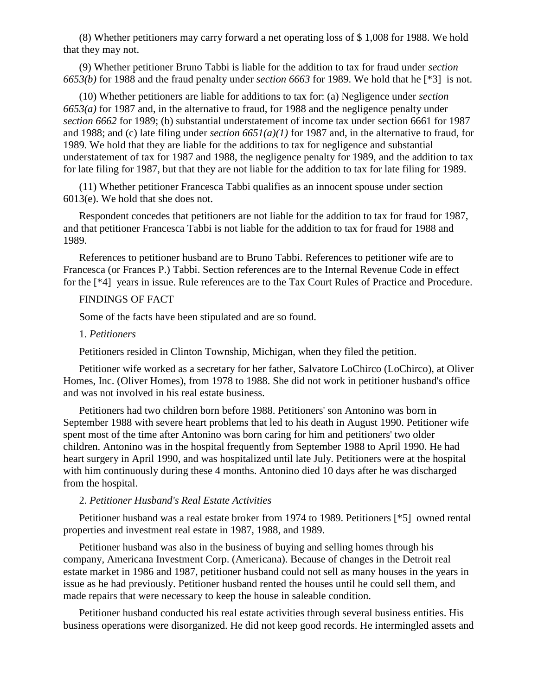(8) Whether petitioners may carry forward a net operating loss of \$ 1,008 for 1988. We hold that they may not.

(9) Whether petitioner Bruno Tabbi is liable for the addition to tax for fraud under *section 6653(b)* for 1988 and the fraud penalty under *section 6663* for 1989. We hold that he [\*3] is not.

(10) Whether petitioners are liable for additions to tax for: (a) Negligence under *section 6653(a)* for 1987 and, in the alternative to fraud, for 1988 and the negligence penalty under *section 6662* for 1989; (b) substantial understatement of income tax under section 6661 for 1987 and 1988; and (c) late filing under *section 6651(a)(1)* for 1987 and, in the alternative to fraud, for 1989. We hold that they are liable for the additions to tax for negligence and substantial understatement of tax for 1987 and 1988, the negligence penalty for 1989, and the addition to tax for late filing for 1987, but that they are not liable for the addition to tax for late filing for 1989.

(11) Whether petitioner Francesca Tabbi qualifies as an innocent spouse under section 6013(e). We hold that she does not.

Respondent concedes that petitioners are not liable for the addition to tax for fraud for 1987, and that petitioner Francesca Tabbi is not liable for the addition to tax for fraud for 1988 and 1989.

References to petitioner husband are to Bruno Tabbi. References to petitioner wife are to Francesca (or Frances P.) Tabbi. Section references are to the Internal Revenue Code in effect for the [\*4] years in issue. Rule references are to the Tax Court Rules of Practice and Procedure.

# FINDINGS OF FACT

Some of the facts have been stipulated and are so found.

### 1. *Petitioners*

Petitioners resided in Clinton Township, Michigan, when they filed the petition.

Petitioner wife worked as a secretary for her father, Salvatore LoChirco (LoChirco), at Oliver Homes, Inc. (Oliver Homes), from 1978 to 1988. She did not work in petitioner husband's office and was not involved in his real estate business.

Petitioners had two children born before 1988. Petitioners' son Antonino was born in September 1988 with severe heart problems that led to his death in August 1990. Petitioner wife spent most of the time after Antonino was born caring for him and petitioners' two older children. Antonino was in the hospital frequently from September 1988 to April 1990. He had heart surgery in April 1990, and was hospitalized until late July. Petitioners were at the hospital with him continuously during these 4 months. Antonino died 10 days after he was discharged from the hospital.

### 2. *Petitioner Husband's Real Estate Activities*

Petitioner husband was a real estate broker from 1974 to 1989. Petitioners [\*5] owned rental properties and investment real estate in 1987, 1988, and 1989.

Petitioner husband was also in the business of buying and selling homes through his company, Americana Investment Corp. (Americana). Because of changes in the Detroit real estate market in 1986 and 1987, petitioner husband could not sell as many houses in the years in issue as he had previously. Petitioner husband rented the houses until he could sell them, and made repairs that were necessary to keep the house in saleable condition.

Petitioner husband conducted his real estate activities through several business entities. His business operations were disorganized. He did not keep good records. He intermingled assets and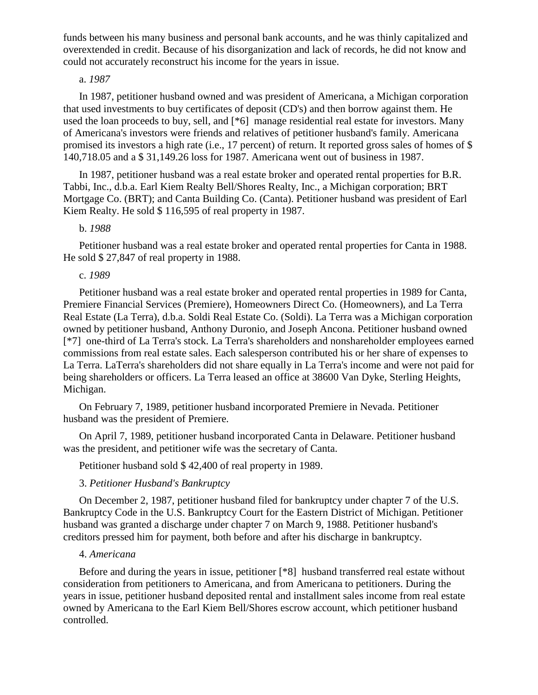funds between his many business and personal bank accounts, and he was thinly capitalized and overextended in credit. Because of his disorganization and lack of records, he did not know and could not accurately reconstruct his income for the years in issue.

### a. *1987*

In 1987, petitioner husband owned and was president of Americana, a Michigan corporation that used investments to buy certificates of deposit (CD's) and then borrow against them. He used the loan proceeds to buy, sell, and [\*6] manage residential real estate for investors. Many of Americana's investors were friends and relatives of petitioner husband's family. Americana promised its investors a high rate (i.e., 17 percent) of return. It reported gross sales of homes of \$ 140,718.05 and a \$ 31,149.26 loss for 1987. Americana went out of business in 1987.

In 1987, petitioner husband was a real estate broker and operated rental properties for B.R. Tabbi, Inc., d.b.a. Earl Kiem Realty Bell/Shores Realty, Inc., a Michigan corporation; BRT Mortgage Co. (BRT); and Canta Building Co. (Canta). Petitioner husband was president of Earl Kiem Realty. He sold \$ 116,595 of real property in 1987.

# b. *1988*

Petitioner husband was a real estate broker and operated rental properties for Canta in 1988. He sold \$ 27,847 of real property in 1988.

# c. *1989*

Petitioner husband was a real estate broker and operated rental properties in 1989 for Canta, Premiere Financial Services (Premiere), Homeowners Direct Co. (Homeowners), and La Terra Real Estate (La Terra), d.b.a. Soldi Real Estate Co. (Soldi). La Terra was a Michigan corporation owned by petitioner husband, Anthony Duronio, and Joseph Ancona. Petitioner husband owned [\*7] one-third of La Terra's stock. La Terra's shareholders and nonshareholder employees earned commissions from real estate sales. Each salesperson contributed his or her share of expenses to La Terra. LaTerra's shareholders did not share equally in La Terra's income and were not paid for being shareholders or officers. La Terra leased an office at 38600 Van Dyke, Sterling Heights, Michigan.

On February 7, 1989, petitioner husband incorporated Premiere in Nevada. Petitioner husband was the president of Premiere.

On April 7, 1989, petitioner husband incorporated Canta in Delaware. Petitioner husband was the president, and petitioner wife was the secretary of Canta.

Petitioner husband sold \$ 42,400 of real property in 1989.

# 3. *Petitioner Husband's Bankruptcy*

On December 2, 1987, petitioner husband filed for bankruptcy under chapter 7 of the U.S. Bankruptcy Code in the U.S. Bankruptcy Court for the Eastern District of Michigan. Petitioner husband was granted a discharge under chapter 7 on March 9, 1988. Petitioner husband's creditors pressed him for payment, both before and after his discharge in bankruptcy.

#### 4. *Americana*

Before and during the years in issue, petitioner [\*8] husband transferred real estate without consideration from petitioners to Americana, and from Americana to petitioners. During the years in issue, petitioner husband deposited rental and installment sales income from real estate owned by Americana to the Earl Kiem Bell/Shores escrow account, which petitioner husband controlled.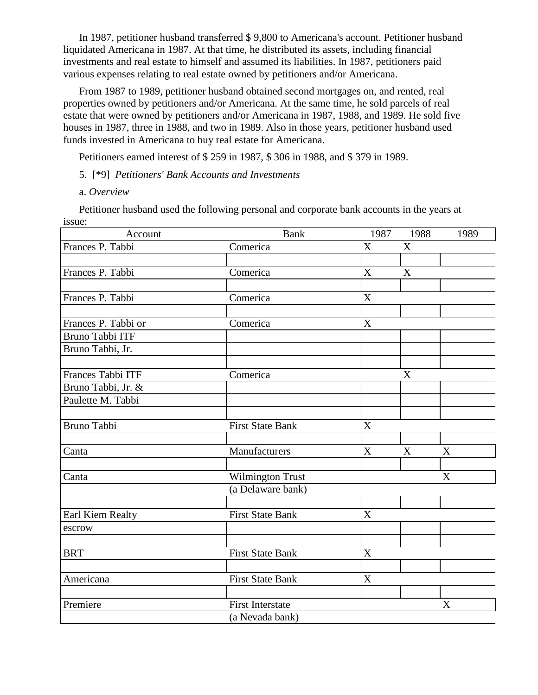In 1987, petitioner husband transferred \$ 9,800 to Americana's account. Petitioner husband liquidated Americana in 1987. At that time, he distributed its assets, including financial investments and real estate to himself and assumed its liabilities. In 1987, petitioners paid various expenses relating to real estate owned by petitioners and/or Americana.

From 1987 to 1989, petitioner husband obtained second mortgages on, and rented, real properties owned by petitioners and/or Americana. At the same time, he sold parcels of real estate that were owned by petitioners and/or Americana in 1987, 1988, and 1989. He sold five houses in 1987, three in 1988, and two in 1989. Also in those years, petitioner husband used funds invested in Americana to buy real estate for Americana.

Petitioners earned interest of \$ 259 in 1987, \$ 306 in 1988, and \$ 379 in 1989.

5. [\*9] *Petitioners' Bank Accounts and Investments*

a. *Overview*

Petitioner husband used the following personal and corporate bank accounts in the years at issue:

| Account                | <b>Bank</b>             | 1987        | 1988                      | 1989 |
|------------------------|-------------------------|-------------|---------------------------|------|
| Frances P. Tabbi       | Comerica                | X           | $\boldsymbol{X}$          |      |
|                        |                         |             |                           |      |
| Frances P. Tabbi       | Comerica                | $\mathbf X$ | $\mathbf X$               |      |
|                        |                         |             |                           |      |
| Frances P. Tabbi       | Comerica                | $\mathbf X$ |                           |      |
|                        |                         |             |                           |      |
| Frances P. Tabbi or    | Comerica                | $\mathbf X$ |                           |      |
| <b>Bruno Tabbi ITF</b> |                         |             |                           |      |
| Bruno Tabbi, Jr.       |                         |             |                           |      |
|                        |                         |             |                           |      |
| Frances Tabbi ITF      | Comerica                |             | $\boldsymbol{\mathrm{X}}$ |      |
| Bruno Tabbi, Jr. &     |                         |             |                           |      |
| Paulette M. Tabbi      |                         |             |                           |      |
|                        |                         |             |                           |      |
| <b>Bruno Tabbi</b>     | <b>First State Bank</b> | X           |                           |      |
|                        |                         |             |                           |      |
| Canta                  | Manufacturers           | $\mathbf X$ | $\mathbf X$               | X    |
|                        |                         |             |                           |      |
| Canta                  | <b>Wilmington Trust</b> |             |                           | X    |
|                        | (a Delaware bank)       |             |                           |      |
|                        |                         |             |                           |      |
| Earl Kiem Realty       | <b>First State Bank</b> | $\mathbf X$ |                           |      |
| escrow                 |                         |             |                           |      |
|                        |                         |             |                           |      |
| <b>BRT</b>             | <b>First State Bank</b> | $\mathbf X$ |                           |      |
|                        |                         |             |                           |      |
| Americana              | <b>First State Bank</b> | $\mathbf X$ |                           |      |
|                        |                         |             |                           |      |
| Premiere               | <b>First Interstate</b> |             |                           | X    |
|                        | (a Nevada bank)         |             |                           |      |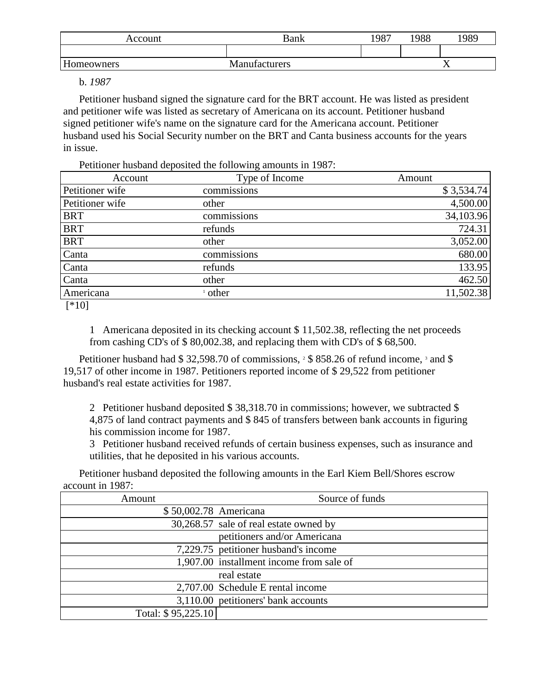| Account           | Bank                 | 1987 | 1988 | 1989           |
|-------------------|----------------------|------|------|----------------|
|                   |                      |      |      |                |
| <b>Homeowners</b> | <b>Manufacturers</b> |      |      | $\overline{ }$ |

b. *1987*

Petitioner husband signed the signature card for the BRT account. He was listed as president and petitioner wife was listed as secretary of Americana on its account. Petitioner husband signed petitioner wife's name on the signature card for the Americana account. Petitioner husband used his Social Security number on the BRT and Canta business accounts for the years in issue.

Petitioner husband deposited the following amounts in 1987:

| Account         | Type of Income      | Amount     |
|-----------------|---------------------|------------|
| Petitioner wife | commissions         | \$3,534.74 |
| Petitioner wife | other               | 4,500.00   |
| <b>BRT</b>      | commissions         | 34,103.96  |
| <b>BRT</b>      | refunds             | 724.31     |
| <b>BRT</b>      | other               | 3,052.00   |
| Canta           | commissions         | 680.00     |
| Canta           | refunds             | 133.95     |
| Canta           | other               | 462.50     |
| Americana       | $\frac{1}{1}$ other | 11,502.38  |
| -----           |                     |            |

[\*10]

1 Americana deposited in its checking account \$ 11,502.38, reflecting the net proceeds from cashing CD's of \$ 80,002.38, and replacing them with CD's of \$ 68,500.

Petitioner husband had \$ 32,598.70 of commissions,  $2\frac{1}{3}$  858.26 of refund income, 3 and \$ 19,517 of other income in 1987. Petitioners reported income of \$ 29,522 from petitioner husband's real estate activities for 1987.

2 Petitioner husband deposited \$ 38,318.70 in commissions; however, we subtracted \$ 4,875 of land contract payments and \$ 845 of transfers between bank accounts in figuring his commission income for 1987.

3 Petitioner husband received refunds of certain business expenses, such as insurance and utilities, that he deposited in his various accounts.

Petitioner husband deposited the following amounts in the Earl Kiem Bell/Shores escrow account in 1987:

| Amount                | Source of funds                          |
|-----------------------|------------------------------------------|
| \$50,002.78 Americana |                                          |
|                       | 30,268.57 sale of real estate owned by   |
|                       | petitioners and/or Americana             |
|                       | 7,229.75 petitioner husband's income     |
|                       | 1,907.00 installment income from sale of |
|                       | real estate                              |
|                       | 2,707.00 Schedule E rental income        |
|                       | 3,110.00 petitioners' bank accounts      |
| Total: \$95,225.10    |                                          |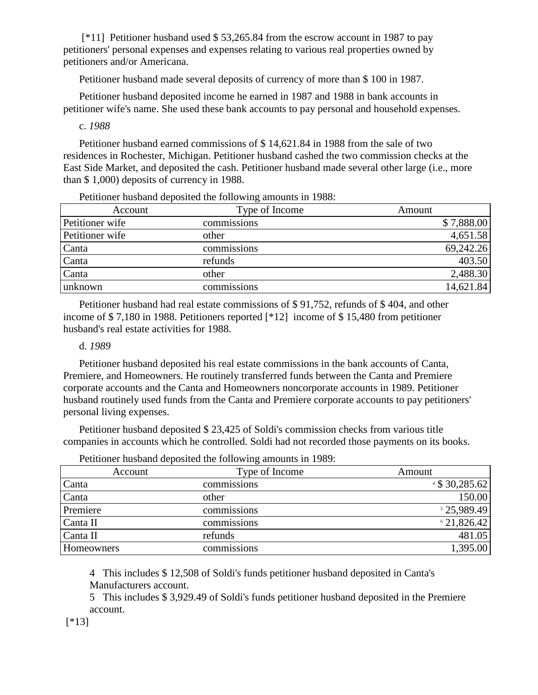[\*11] Petitioner husband used \$ 53,265.84 from the escrow account in 1987 to pay petitioners' personal expenses and expenses relating to various real properties owned by petitioners and/or Americana.

Petitioner husband made several deposits of currency of more than \$ 100 in 1987.

Petitioner husband deposited income he earned in 1987 and 1988 in bank accounts in petitioner wife's name. She used these bank accounts to pay personal and household expenses.

## c. *1988*

Petitioner husband earned commissions of \$ 14,621.84 in 1988 from the sale of two residences in Rochester, Michigan. Petitioner husband cashed the two commission checks at the East Side Market, and deposited the cash. Petitioner husband made several other large (i.e., more than \$ 1,000) deposits of currency in 1988.

| Account         | Type of Income | Amount     |
|-----------------|----------------|------------|
| Petitioner wife | commissions    | \$7,888.00 |
| Petitioner wife | other          | 4,651.58   |
| Canta           | commissions    | 69,242.26  |
| Canta           | refunds        | 403.50     |
| Canta           | other          | 2,488.30   |
| unknown         | commissions    | 14,621.84  |

Petitioner husband deposited the following amounts in 1988:

Petitioner husband had real estate commissions of \$ 91,752, refunds of \$ 404, and other income of \$ 7,180 in 1988. Petitioners reported [\*12] income of \$ 15,480 from petitioner husband's real estate activities for 1988.

## d. *1989*

Petitioner husband deposited his real estate commissions in the bank accounts of Canta, Premiere, and Homeowners. He routinely transferred funds between the Canta and Premiere corporate accounts and the Canta and Homeowners noncorporate accounts in 1989. Petitioner husband routinely used funds from the Canta and Premiere corporate accounts to pay petitioners' personal living expenses.

Petitioner husband deposited \$ 23,425 of Soldi's commission checks from various title companies in accounts which he controlled. Soldi had not recorded those payments on its books.

| Account    | Type of Income | Amount           |
|------------|----------------|------------------|
| Canta      | commissions    | $4$ \$ 30,285.62 |
| Canta      | other          | 150.00           |
| Premiere   | commissions    | 525,989.49       |
| Canta II   | commissions    | 621,826.42       |
| Canta II   | refunds        | 481.05           |
| Homeowners | commissions    | 1,395.00         |

Petitioner husband deposited the following amounts in 1989:

4 This includes \$ 12,508 of Soldi's funds petitioner husband deposited in Canta's Manufacturers account.

5 This includes \$ 3,929.49 of Soldi's funds petitioner husband deposited in the Premiere account.

[\*13]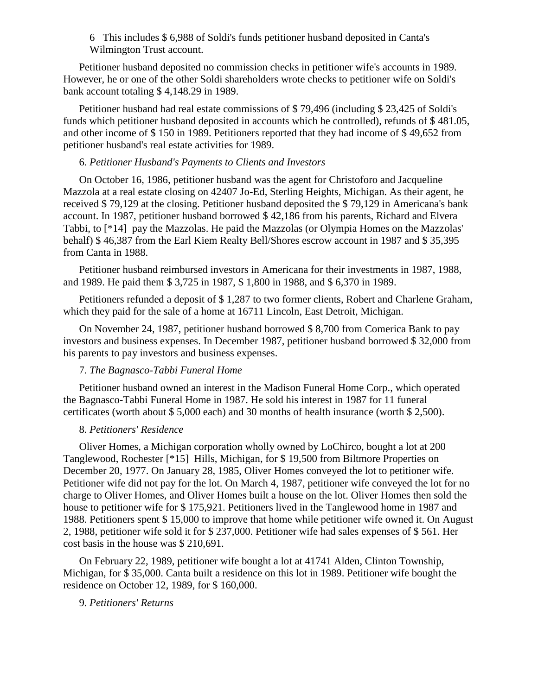6 This includes \$ 6,988 of Soldi's funds petitioner husband deposited in Canta's Wilmington Trust account.

Petitioner husband deposited no commission checks in petitioner wife's accounts in 1989. However, he or one of the other Soldi shareholders wrote checks to petitioner wife on Soldi's bank account totaling \$ 4,148.29 in 1989.

Petitioner husband had real estate commissions of \$ 79,496 (including \$ 23,425 of Soldi's funds which petitioner husband deposited in accounts which he controlled), refunds of \$ 481.05, and other income of \$ 150 in 1989. Petitioners reported that they had income of \$ 49,652 from petitioner husband's real estate activities for 1989.

# 6. *Petitioner Husband's Payments to Clients and Investors*

On October 16, 1986, petitioner husband was the agent for Christoforo and Jacqueline Mazzola at a real estate closing on 42407 Jo-Ed, Sterling Heights, Michigan. As their agent, he received \$ 79,129 at the closing. Petitioner husband deposited the \$ 79,129 in Americana's bank account. In 1987, petitioner husband borrowed \$ 42,186 from his parents, Richard and Elvera Tabbi, to [\*14] pay the Mazzolas. He paid the Mazzolas (or Olympia Homes on the Mazzolas' behalf) \$ 46,387 from the Earl Kiem Realty Bell/Shores escrow account in 1987 and \$ 35,395 from Canta in 1988.

Petitioner husband reimbursed investors in Americana for their investments in 1987, 1988, and 1989. He paid them \$ 3,725 in 1987, \$ 1,800 in 1988, and \$ 6,370 in 1989.

Petitioners refunded a deposit of \$ 1,287 to two former clients, Robert and Charlene Graham, which they paid for the sale of a home at 16711 Lincoln, East Detroit, Michigan.

On November 24, 1987, petitioner husband borrowed \$ 8,700 from Comerica Bank to pay investors and business expenses. In December 1987, petitioner husband borrowed \$ 32,000 from his parents to pay investors and business expenses.

# 7. *The Bagnasco-Tabbi Funeral Home*

Petitioner husband owned an interest in the Madison Funeral Home Corp., which operated the Bagnasco-Tabbi Funeral Home in 1987. He sold his interest in 1987 for 11 funeral certificates (worth about \$ 5,000 each) and 30 months of health insurance (worth \$ 2,500).

## 8. *Petitioners' Residence*

Oliver Homes, a Michigan corporation wholly owned by LoChirco, bought a lot at 200 Tanglewood, Rochester [\*15] Hills, Michigan, for \$ 19,500 from Biltmore Properties on December 20, 1977. On January 28, 1985, Oliver Homes conveyed the lot to petitioner wife. Petitioner wife did not pay for the lot. On March 4, 1987, petitioner wife conveyed the lot for no charge to Oliver Homes, and Oliver Homes built a house on the lot. Oliver Homes then sold the house to petitioner wife for \$ 175,921. Petitioners lived in the Tanglewood home in 1987 and 1988. Petitioners spent \$ 15,000 to improve that home while petitioner wife owned it. On August 2, 1988, petitioner wife sold it for \$ 237,000. Petitioner wife had sales expenses of \$ 561. Her cost basis in the house was \$ 210,691.

On February 22, 1989, petitioner wife bought a lot at 41741 Alden, Clinton Township, Michigan, for \$ 35,000. Canta built a residence on this lot in 1989. Petitioner wife bought the residence on October 12, 1989, for \$ 160,000.

# 9. *Petitioners' Returns*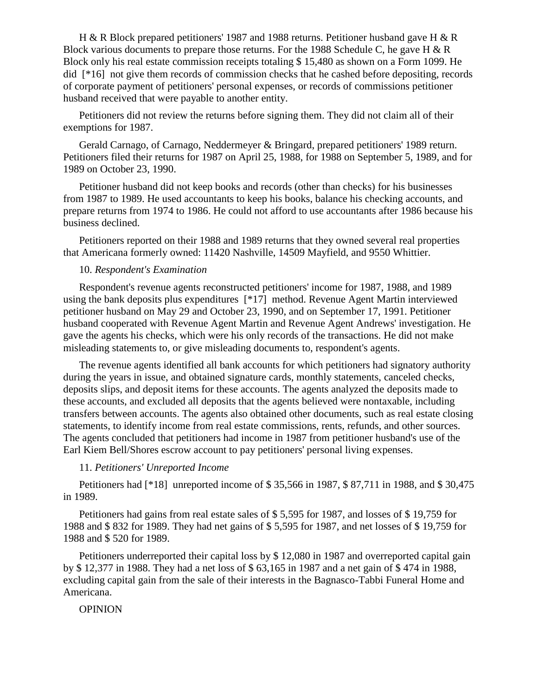H & R Block prepared petitioners' 1987 and 1988 returns. Petitioner husband gave H & R Block various documents to prepare those returns. For the 1988 Schedule C, he gave H & R Block only his real estate commission receipts totaling \$ 15,480 as shown on a Form 1099. He did [\*16] not give them records of commission checks that he cashed before depositing, records of corporate payment of petitioners' personal expenses, or records of commissions petitioner husband received that were payable to another entity.

Petitioners did not review the returns before signing them. They did not claim all of their exemptions for 1987.

Gerald Carnago, of Carnago, Neddermeyer & Bringard, prepared petitioners' 1989 return. Petitioners filed their returns for 1987 on April 25, 1988, for 1988 on September 5, 1989, and for 1989 on October 23, 1990.

Petitioner husband did not keep books and records (other than checks) for his businesses from 1987 to 1989. He used accountants to keep his books, balance his checking accounts, and prepare returns from 1974 to 1986. He could not afford to use accountants after 1986 because his business declined.

Petitioners reported on their 1988 and 1989 returns that they owned several real properties that Americana formerly owned: 11420 Nashville, 14509 Mayfield, and 9550 Whittier.

## 10. *Respondent's Examination*

Respondent's revenue agents reconstructed petitioners' income for 1987, 1988, and 1989 using the bank deposits plus expenditures [\*17] method. Revenue Agent Martin interviewed petitioner husband on May 29 and October 23, 1990, and on September 17, 1991. Petitioner husband cooperated with Revenue Agent Martin and Revenue Agent Andrews' investigation. He gave the agents his checks, which were his only records of the transactions. He did not make misleading statements to, or give misleading documents to, respondent's agents.

The revenue agents identified all bank accounts for which petitioners had signatory authority during the years in issue, and obtained signature cards, monthly statements, canceled checks, deposits slips, and deposit items for these accounts. The agents analyzed the deposits made to these accounts, and excluded all deposits that the agents believed were nontaxable, including transfers between accounts. The agents also obtained other documents, such as real estate closing statements, to identify income from real estate commissions, rents, refunds, and other sources. The agents concluded that petitioners had income in 1987 from petitioner husband's use of the Earl Kiem Bell/Shores escrow account to pay petitioners' personal living expenses.

### 11. *Petitioners' Unreported Income*

Petitioners had [\*18] unreported income of \$ 35,566 in 1987, \$ 87,711 in 1988, and \$ 30,475 in 1989.

Petitioners had gains from real estate sales of \$ 5,595 for 1987, and losses of \$ 19,759 for 1988 and \$ 832 for 1989. They had net gains of \$ 5,595 for 1987, and net losses of \$ 19,759 for 1988 and \$ 520 for 1989.

Petitioners underreported their capital loss by \$ 12,080 in 1987 and overreported capital gain by \$ 12,377 in 1988. They had a net loss of \$ 63,165 in 1987 and a net gain of \$ 474 in 1988, excluding capital gain from the sale of their interests in the Bagnasco-Tabbi Funeral Home and Americana.

OPINION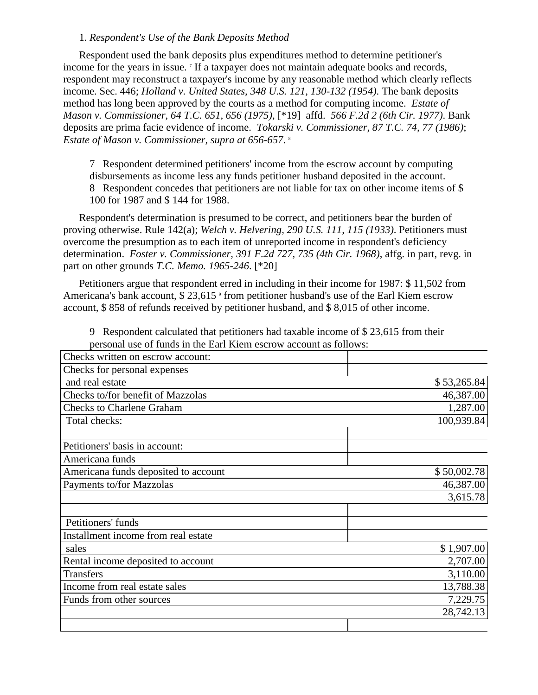## 1. *Respondent's Use of the Bank Deposits Method*

Respondent used the bank deposits plus expenditures method to determine petitioner's income for the years in issue. <sup>7</sup> If a taxpayer does not maintain adequate books and records, respondent may reconstruct a taxpayer's income by any reasonable method which clearly reflects income. Sec. 446; *Holland v. United States, 348 U.S. 121, 130-132 (1954)*. The bank deposits method has long been approved by the courts as a method for computing income. *Estate of Mason v. Commissioner, 64 T.C. 651, 656 (1975)*, [\*19] affd. *566 F.2d 2 (6th Cir. 1977)*. Bank deposits are prima facie evidence of income. *Tokarski v. Commissioner, 87 T.C. 74, 77 (1986)*; *Estate of Mason v. Commissioner, supra at 656-657*. 8

7 Respondent determined petitioners' income from the escrow account by computing disbursements as income less any funds petitioner husband deposited in the account. 8 Respondent concedes that petitioners are not liable for tax on other income items of \$ 100 for 1987 and \$ 144 for 1988.

Respondent's determination is presumed to be correct, and petitioners bear the burden of proving otherwise. Rule 142(a); *Welch v. Helvering, 290 U.S. 111, 115 (1933)*. Petitioners must overcome the presumption as to each item of unreported income in respondent's deficiency determination. *Foster v. Commissioner, 391 F.2d 727, 735 (4th Cir. 1968)*, affg. in part, revg. in part on other grounds *T.C. Memo. 1965-246*. [\*20]

Petitioners argue that respondent erred in including in their income for 1987: \$ 11,502 from Americana's bank account, \$ 23,615 ° from petitioner husband's use of the Earl Kiem escrow account, \$ 858 of refunds received by petitioner husband, and \$ 8,015 of other income.

| Checks written on escrow account:    |             |
|--------------------------------------|-------------|
| Checks for personal expenses         |             |
| and real estate                      | \$53,265.84 |
| Checks to/for benefit of Mazzolas    | 46,387.00   |
| <b>Checks to Charlene Graham</b>     | 1,287.00    |
| Total checks:                        | 100,939.84  |
|                                      |             |
| Petitioners' basis in account:       |             |
| Americana funds                      |             |
| Americana funds deposited to account | \$50,002.78 |
| Payments to/for Mazzolas             | 46,387.00   |
|                                      | 3,615.78    |
|                                      |             |
| Petitioners' funds                   |             |
| Installment income from real estate  |             |
| sales                                | \$1,907.00  |
| Rental income deposited to account   | 2,707.00    |
| <b>Transfers</b>                     | 3,110.00    |
| Income from real estate sales        | 13,788.38   |
| Funds from other sources             | 7,229.75    |
|                                      | 28,742.13   |
|                                      |             |
|                                      |             |

9 Respondent calculated that petitioners had taxable income of \$ 23,615 from their personal use of funds in the Earl Kiem escrow account as follows: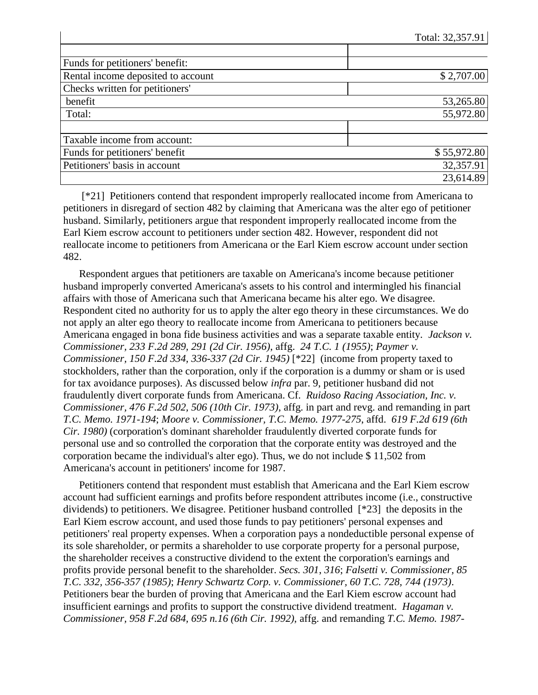| <b>Funds</b> for petitioners' benefit: |             |
|----------------------------------------|-------------|
| Rental income deposited to account     | \$2,707.00  |
| Checks written for petitioners'        |             |
| benefit                                | 53,265.80   |
| Total:                                 | 55,972.80   |
|                                        |             |
| Taxable income from account:           |             |
| Funds for petitioners' benefit         | \$55,972.80 |
| Petitioners' basis in account          | 32,357.91   |
|                                        | 23,614.89   |

[\*21] Petitioners contend that respondent improperly reallocated income from Americana to petitioners in disregard of section 482 by claiming that Americana was the alter ego of petitioner husband. Similarly, petitioners argue that respondent improperly reallocated income from the Earl Kiem escrow account to petitioners under section 482. However, respondent did not reallocate income to petitioners from Americana or the Earl Kiem escrow account under section 482.

Respondent argues that petitioners are taxable on Americana's income because petitioner husband improperly converted Americana's assets to his control and intermingled his financial affairs with those of Americana such that Americana became his alter ego. We disagree. Respondent cited no authority for us to apply the alter ego theory in these circumstances. We do not apply an alter ego theory to reallocate income from Americana to petitioners because Americana engaged in bona fide business activities and was a separate taxable entity. *Jackson v. Commissioner, 233 F.2d 289, 291 (2d Cir. 1956)*, affg. *24 T.C. 1 (1955)*; *Paymer v. Commissioner, 150 F.2d 334, 336-337 (2d Cir. 1945)* [\*22] (income from property taxed to stockholders, rather than the corporation, only if the corporation is a dummy or sham or is used for tax avoidance purposes). As discussed below *infra* par. 9, petitioner husband did not fraudulently divert corporate funds from Americana. Cf. *Ruidoso Racing Association, Inc. v. Commissioner, 476 F.2d 502, 506 (10th Cir. 1973)*, affg. in part and revg. and remanding in part *T.C. Memo. 1971-194*; *Moore v. Commissioner, T.C. Memo. 1977-275*, affd. *619 F.2d 619 (6th Cir. 1980)* (corporation's dominant shareholder fraudulently diverted corporate funds for personal use and so controlled the corporation that the corporate entity was destroyed and the corporation became the individual's alter ego). Thus, we do not include \$ 11,502 from Americana's account in petitioners' income for 1987.

Petitioners contend that respondent must establish that Americana and the Earl Kiem escrow account had sufficient earnings and profits before respondent attributes income (i.e., constructive dividends) to petitioners. We disagree. Petitioner husband controlled [\*23] the deposits in the Earl Kiem escrow account, and used those funds to pay petitioners' personal expenses and petitioners' real property expenses. When a corporation pays a nondeductible personal expense of its sole shareholder, or permits a shareholder to use corporate property for a personal purpose, the shareholder receives a constructive dividend to the extent the corporation's earnings and profits provide personal benefit to the shareholder. *Secs. 301*, *316*; *Falsetti v. Commissioner, 85 T.C. 332, 356-357 (1985)*; *Henry Schwartz Corp. v. Commissioner, 60 T.C. 728, 744 (1973)*. Petitioners bear the burden of proving that Americana and the Earl Kiem escrow account had insufficient earnings and profits to support the constructive dividend treatment. *Hagaman v. Commissioner, 958 F.2d 684, 695 n.16 (6th Cir. 1992)*, affg. and remanding *T.C. Memo. 1987-*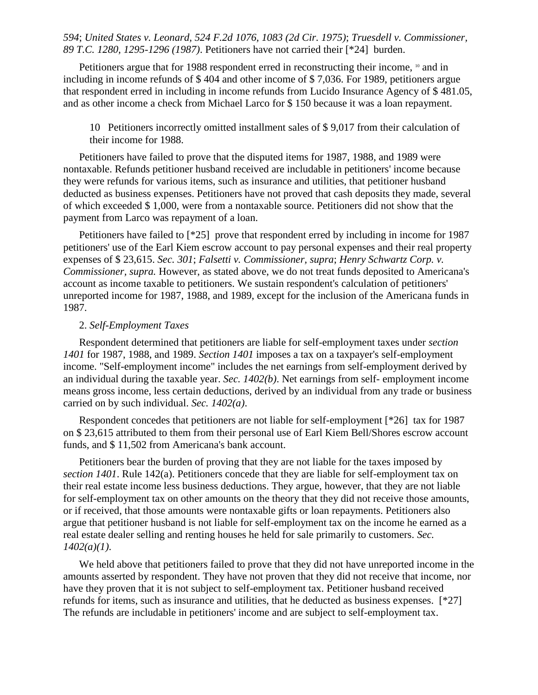# *594*; *United States v. Leonard, 524 F.2d 1076, 1083 (2d Cir. 1975)*; *Truesdell v. Commissioner, 89 T.C. 1280, 1295-1296 (1987)*. Petitioners have not carried their [\*24] burden.

Petitioners argue that for 1988 respondent erred in reconstructing their income, <sup>10</sup> and in including in income refunds of \$ 404 and other income of \$ 7,036. For 1989, petitioners argue that respondent erred in including in income refunds from Lucido Insurance Agency of \$ 481.05, and as other income a check from Michael Larco for \$ 150 because it was a loan repayment.

10 Petitioners incorrectly omitted installment sales of \$ 9,017 from their calculation of their income for 1988.

Petitioners have failed to prove that the disputed items for 1987, 1988, and 1989 were nontaxable. Refunds petitioner husband received are includable in petitioners' income because they were refunds for various items, such as insurance and utilities, that petitioner husband deducted as business expenses. Petitioners have not proved that cash deposits they made, several of which exceeded \$ 1,000, were from a nontaxable source. Petitioners did not show that the payment from Larco was repayment of a loan.

Petitioners have failed to [\*25] prove that respondent erred by including in income for 1987 petitioners' use of the Earl Kiem escrow account to pay personal expenses and their real property expenses of \$ 23,615. *Sec. 301*; *Falsetti v. Commissioner, supra*; *Henry Schwartz Corp. v. Commissioner, supra.* However, as stated above, we do not treat funds deposited to Americana's account as income taxable to petitioners. We sustain respondent's calculation of petitioners' unreported income for 1987, 1988, and 1989, except for the inclusion of the Americana funds in 1987.

### 2. *Self-Employment Taxes*

Respondent determined that petitioners are liable for self-employment taxes under *section 1401* for 1987, 1988, and 1989. *Section 1401* imposes a tax on a taxpayer's self-employment income. "Self-employment income" includes the net earnings from self-employment derived by an individual during the taxable year. *Sec. 1402(b)*. Net earnings from self- employment income means gross income, less certain deductions, derived by an individual from any trade or business carried on by such individual. *Sec. 1402(a)*.

Respondent concedes that petitioners are not liable for self-employment [\*26] tax for 1987 on \$ 23,615 attributed to them from their personal use of Earl Kiem Bell/Shores escrow account funds, and \$ 11,502 from Americana's bank account.

Petitioners bear the burden of proving that they are not liable for the taxes imposed by *section 1401*. Rule 142(a). Petitioners concede that they are liable for self-employment tax on their real estate income less business deductions. They argue, however, that they are not liable for self-employment tax on other amounts on the theory that they did not receive those amounts, or if received, that those amounts were nontaxable gifts or loan repayments. Petitioners also argue that petitioner husband is not liable for self-employment tax on the income he earned as a real estate dealer selling and renting houses he held for sale primarily to customers. *Sec. 1402(a)(1)*.

We held above that petitioners failed to prove that they did not have unreported income in the amounts asserted by respondent. They have not proven that they did not receive that income, nor have they proven that it is not subject to self-employment tax. Petitioner husband received refunds for items, such as insurance and utilities, that he deducted as business expenses. [\*27] The refunds are includable in petitioners' income and are subject to self-employment tax.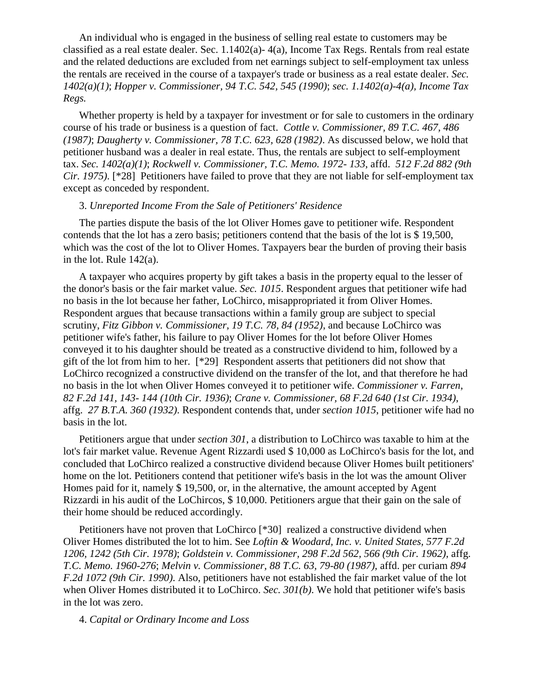An individual who is engaged in the business of selling real estate to customers may be classified as a real estate dealer. Sec. 1.1402(a)- 4(a), Income Tax Regs. Rentals from real estate and the related deductions are excluded from net earnings subject to self-employment tax unless the rentals are received in the course of a taxpayer's trade or business as a real estate dealer. *Sec. 1402(a)(1)*; *Hopper v. Commissioner, 94 T.C. 542, 545 (1990)*; *sec. 1.1402(a)-4(a), Income Tax Regs.*

Whether property is held by a taxpayer for investment or for sale to customers in the ordinary course of his trade or business is a question of fact. *Cottle v. Commissioner, 89 T.C. 467, 486 (1987)*; *Daugherty v. Commissioner, 78 T.C. 623, 628 (1982)*. As discussed below, we hold that petitioner husband was a dealer in real estate. Thus, the rentals are subject to self-employment tax. *Sec. 1402(a)(1)*; *Rockwell v. Commissioner, T.C. Memo. 1972- 133*, affd. *512 F.2d 882 (9th Cir. 1975)*. [\*28] Petitioners have failed to prove that they are not liable for self-employment tax except as conceded by respondent.

# 3. *Unreported Income From the Sale of Petitioners' Residence*

The parties dispute the basis of the lot Oliver Homes gave to petitioner wife. Respondent contends that the lot has a zero basis; petitioners contend that the basis of the lot is \$ 19,500, which was the cost of the lot to Oliver Homes. Taxpayers bear the burden of proving their basis in the lot. Rule 142(a).

A taxpayer who acquires property by gift takes a basis in the property equal to the lesser of the donor's basis or the fair market value. *Sec. 1015*. Respondent argues that petitioner wife had no basis in the lot because her father, LoChirco, misappropriated it from Oliver Homes. Respondent argues that because transactions within a family group are subject to special scrutiny, *Fitz Gibbon v. Commissioner, 19 T.C. 78, 84 (1952)*, and because LoChirco was petitioner wife's father, his failure to pay Oliver Homes for the lot before Oliver Homes conveyed it to his daughter should be treated as a constructive dividend to him, followed by a gift of the lot from him to her. [\*29] Respondent asserts that petitioners did not show that LoChirco recognized a constructive dividend on the transfer of the lot, and that therefore he had no basis in the lot when Oliver Homes conveyed it to petitioner wife. *Commissioner v. Farren, 82 F.2d 141, 143- 144 (10th Cir. 1936)*; *Crane v. Commissioner, 68 F.2d 640 (1st Cir. 1934)*, affg. *27 B.T.A. 360 (1932)*. Respondent contends that, under *section 1015*, petitioner wife had no basis in the lot.

Petitioners argue that under *section 301*, a distribution to LoChirco was taxable to him at the lot's fair market value. Revenue Agent Rizzardi used \$ 10,000 as LoChirco's basis for the lot, and concluded that LoChirco realized a constructive dividend because Oliver Homes built petitioners' home on the lot. Petitioners contend that petitioner wife's basis in the lot was the amount Oliver Homes paid for it, namely \$ 19,500, or, in the alternative, the amount accepted by Agent Rizzardi in his audit of the LoChircos, \$ 10,000. Petitioners argue that their gain on the sale of their home should be reduced accordingly.

Petitioners have not proven that LoChirco [\*30] realized a constructive dividend when Oliver Homes distributed the lot to him. See *Loftin & Woodard, Inc. v. United States, 577 F.2d 1206, 1242 (5th Cir. 1978)*; *Goldstein v. Commissioner, 298 F.2d 562, 566 (9th Cir. 1962)*, affg. *T.C. Memo. 1960-276*; *Melvin v. Commissioner, 88 T.C. 63, 79-80 (1987)*, affd. per curiam *894 F.2d 1072 (9th Cir. 1990)*. Also, petitioners have not established the fair market value of the lot when Oliver Homes distributed it to LoChirco. *Sec. 301(b)*. We hold that petitioner wife's basis in the lot was zero.

4. *Capital or Ordinary Income and Loss*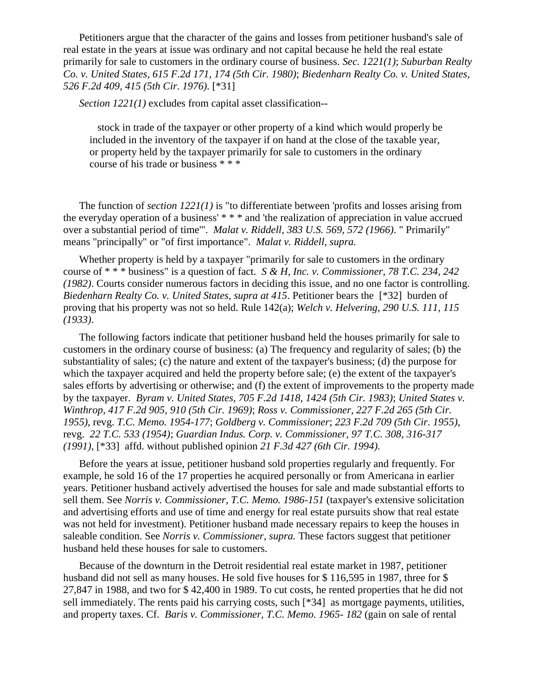Petitioners argue that the character of the gains and losses from petitioner husband's sale of real estate in the years at issue was ordinary and not capital because he held the real estate primarily for sale to customers in the ordinary course of business. *Sec. 1221(1)*; *Suburban Realty Co. v. United States, 615 F.2d 171, 174 (5th Cir. 1980)*; *Biedenharn Realty Co. v. United States, 526 F.2d 409, 415 (5th Cir. 1976)*. [\*31]

*Section 1221(1)* excludes from capital asset classification--

 stock in trade of the taxpayer or other property of a kind which would properly be included in the inventory of the taxpayer if on hand at the close of the taxable year, or property held by the taxpayer primarily for sale to customers in the ordinary course of his trade or business \* \* \*

The function of *section 1221(1)* is "to differentiate between 'profits and losses arising from the everyday operation of a business' \* \* \* and 'the realization of appreciation in value accrued over a substantial period of time'". *Malat v. Riddell, 383 U.S. 569, 572 (1966)*. " Primarily" means "principally" or "of first importance". *Malat v. Riddell, supra.*

Whether property is held by a taxpayer "primarily for sale to customers in the ordinary course of \* \* \* business" is a question of fact. *S & H, Inc. v. Commissioner, 78 T.C. 234, 242 (1982)*. Courts consider numerous factors in deciding this issue, and no one factor is controlling. *Biedenharn Realty Co. v. United States, supra at 415*. Petitioner bears the [\*32] burden of proving that his property was not so held. Rule 142(a); *Welch v. Helvering, 290 U.S. 111, 115 (1933)*.

The following factors indicate that petitioner husband held the houses primarily for sale to customers in the ordinary course of business: (a) The frequency and regularity of sales; (b) the substantiality of sales; (c) the nature and extent of the taxpayer's business; (d) the purpose for which the taxpayer acquired and held the property before sale; (e) the extent of the taxpayer's sales efforts by advertising or otherwise; and (f) the extent of improvements to the property made by the taxpayer. *Byram v. United States, 705 F.2d 1418, 1424 (5th Cir. 1983)*; *United States v. Winthrop, 417 F.2d 905, 910 (5th Cir. 1969)*; *Ross v. Commissioner, 227 F.2d 265 (5th Cir. 1955)*, revg. *T.C. Memo. 1954-177*; *Goldberg v. Commissioner*; *223 F.2d 709 (5th Cir. 1955)*, revg. *22 T.C. 533 (1954)*; *Guardian Indus. Corp. v. Commissioner, 97 T.C. 308, 316-317 (1991)*, [\*33] affd. without published opinion *21 F.3d 427 (6th Cir. 1994)*.

Before the years at issue, petitioner husband sold properties regularly and frequently. For example, he sold 16 of the 17 properties he acquired personally or from Americana in earlier years. Petitioner husband actively advertised the houses for sale and made substantial efforts to sell them. See *Norris v. Commissioner, T.C. Memo. 1986-151* (taxpayer's extensive solicitation and advertising efforts and use of time and energy for real estate pursuits show that real estate was not held for investment). Petitioner husband made necessary repairs to keep the houses in saleable condition. See *Norris v. Commissioner, supra.* These factors suggest that petitioner husband held these houses for sale to customers.

Because of the downturn in the Detroit residential real estate market in 1987, petitioner husband did not sell as many houses. He sold five houses for \$116,595 in 1987, three for \$ 27,847 in 1988, and two for \$ 42,400 in 1989. To cut costs, he rented properties that he did not sell immediately. The rents paid his carrying costs, such [\*34] as mortgage payments, utilities, and property taxes. Cf. *Baris v. Commissioner, T.C. Memo. 1965- 182* (gain on sale of rental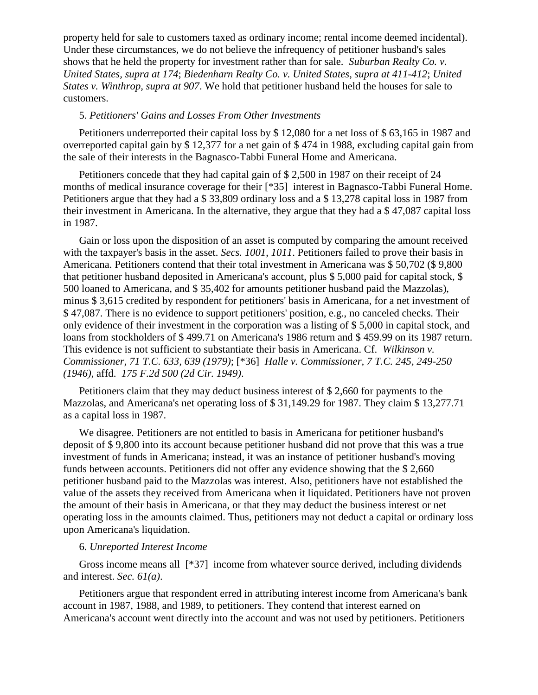property held for sale to customers taxed as ordinary income; rental income deemed incidental). Under these circumstances, we do not believe the infrequency of petitioner husband's sales shows that he held the property for investment rather than for sale. *Suburban Realty Co. v. United States, supra at 174*; *Biedenharn Realty Co. v. United States, supra at 411-412*; *United States v. Winthrop, supra at 907*. We hold that petitioner husband held the houses for sale to customers.

# 5. *Petitioners' Gains and Losses From Other Investments*

Petitioners underreported their capital loss by \$ 12,080 for a net loss of \$ 63,165 in 1987 and overreported capital gain by \$ 12,377 for a net gain of \$ 474 in 1988, excluding capital gain from the sale of their interests in the Bagnasco-Tabbi Funeral Home and Americana.

Petitioners concede that they had capital gain of \$ 2,500 in 1987 on their receipt of 24 months of medical insurance coverage for their [\*35] interest in Bagnasco-Tabbi Funeral Home. Petitioners argue that they had a \$ 33,809 ordinary loss and a \$ 13,278 capital loss in 1987 from their investment in Americana. In the alternative, they argue that they had a \$ 47,087 capital loss in 1987.

Gain or loss upon the disposition of an asset is computed by comparing the amount received with the taxpayer's basis in the asset. *Secs. 1001*, *1011*. Petitioners failed to prove their basis in Americana. Petitioners contend that their total investment in Americana was \$ 50,702 (\$ 9,800 that petitioner husband deposited in Americana's account, plus \$ 5,000 paid for capital stock, \$ 500 loaned to Americana, and \$ 35,402 for amounts petitioner husband paid the Mazzolas), minus \$ 3,615 credited by respondent for petitioners' basis in Americana, for a net investment of \$ 47,087. There is no evidence to support petitioners' position, e.g., no canceled checks. Their only evidence of their investment in the corporation was a listing of \$ 5,000 in capital stock, and loans from stockholders of \$ 499.71 on Americana's 1986 return and \$ 459.99 on its 1987 return. This evidence is not sufficient to substantiate their basis in Americana. Cf. *Wilkinson v. Commissioner, 71 T.C. 633, 639 (1979)*; [\*36] *Halle v. Commissioner, 7 T.C. 245, 249-250 (1946)*, affd. *175 F.2d 500 (2d Cir. 1949)*.

Petitioners claim that they may deduct business interest of \$ 2,660 for payments to the Mazzolas, and Americana's net operating loss of \$ 31,149.29 for 1987. They claim \$ 13,277.71 as a capital loss in 1987.

We disagree. Petitioners are not entitled to basis in Americana for petitioner husband's deposit of \$ 9,800 into its account because petitioner husband did not prove that this was a true investment of funds in Americana; instead, it was an instance of petitioner husband's moving funds between accounts. Petitioners did not offer any evidence showing that the \$ 2,660 petitioner husband paid to the Mazzolas was interest. Also, petitioners have not established the value of the assets they received from Americana when it liquidated. Petitioners have not proven the amount of their basis in Americana, or that they may deduct the business interest or net operating loss in the amounts claimed. Thus, petitioners may not deduct a capital or ordinary loss upon Americana's liquidation.

## 6. *Unreported Interest Income*

Gross income means all [\*37] income from whatever source derived, including dividends and interest. *Sec. 61(a)*.

Petitioners argue that respondent erred in attributing interest income from Americana's bank account in 1987, 1988, and 1989, to petitioners. They contend that interest earned on Americana's account went directly into the account and was not used by petitioners. Petitioners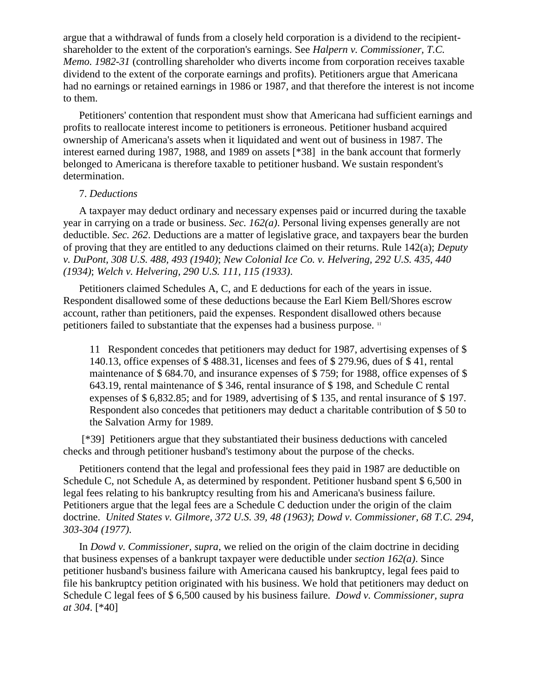argue that a withdrawal of funds from a closely held corporation is a dividend to the recipientshareholder to the extent of the corporation's earnings. See *Halpern v. Commissioner, T.C. Memo. 1982-31* (controlling shareholder who diverts income from corporation receives taxable dividend to the extent of the corporate earnings and profits). Petitioners argue that Americana had no earnings or retained earnings in 1986 or 1987, and that therefore the interest is not income to them.

Petitioners' contention that respondent must show that Americana had sufficient earnings and profits to reallocate interest income to petitioners is erroneous. Petitioner husband acquired ownership of Americana's assets when it liquidated and went out of business in 1987. The interest earned during 1987, 1988, and 1989 on assets [\*38] in the bank account that formerly belonged to Americana is therefore taxable to petitioner husband. We sustain respondent's determination.

## 7. *Deductions*

A taxpayer may deduct ordinary and necessary expenses paid or incurred during the taxable year in carrying on a trade or business. *Sec. 162(a)*. Personal living expenses generally are not deductible. *Sec. 262*. Deductions are a matter of legislative grace, and taxpayers bear the burden of proving that they are entitled to any deductions claimed on their returns. Rule 142(a); *Deputy v. DuPont, 308 U.S. 488, 493 (1940)*; *New Colonial Ice Co. v. Helvering, 292 U.S. 435, 440 (1934)*; *Welch v. Helvering, 290 U.S. 111, 115 (1933)*.

Petitioners claimed Schedules A, C, and E deductions for each of the years in issue. Respondent disallowed some of these deductions because the Earl Kiem Bell/Shores escrow account, rather than petitioners, paid the expenses. Respondent disallowed others because petitioners failed to substantiate that the expenses had a business purpose. <sup>11</sup>

11 Respondent concedes that petitioners may deduct for 1987, advertising expenses of \$ 140.13, office expenses of \$ 488.31, licenses and fees of \$ 279.96, dues of \$ 41, rental maintenance of \$ 684.70, and insurance expenses of \$ 759; for 1988, office expenses of \$ 643.19, rental maintenance of \$ 346, rental insurance of \$ 198, and Schedule C rental expenses of \$ 6,832.85; and for 1989, advertising of \$ 135, and rental insurance of \$ 197. Respondent also concedes that petitioners may deduct a charitable contribution of \$ 50 to the Salvation Army for 1989.

[\*39] Petitioners argue that they substantiated their business deductions with canceled checks and through petitioner husband's testimony about the purpose of the checks.

Petitioners contend that the legal and professional fees they paid in 1987 are deductible on Schedule C, not Schedule A, as determined by respondent. Petitioner husband spent \$ 6,500 in legal fees relating to his bankruptcy resulting from his and Americana's business failure. Petitioners argue that the legal fees are a Schedule C deduction under the origin of the claim doctrine. *United States v. Gilmore, 372 U.S. 39, 48 (1963)*; *Dowd v. Commissioner, 68 T.C. 294, 303-304 (1977)*.

In *Dowd v. Commissioner, supra*, we relied on the origin of the claim doctrine in deciding that business expenses of a bankrupt taxpayer were deductible under *section 162(a)*. Since petitioner husband's business failure with Americana caused his bankruptcy, legal fees paid to file his bankruptcy petition originated with his business. We hold that petitioners may deduct on Schedule C legal fees of \$ 6,500 caused by his business failure. *Dowd v. Commissioner, supra at 304*. [\*40]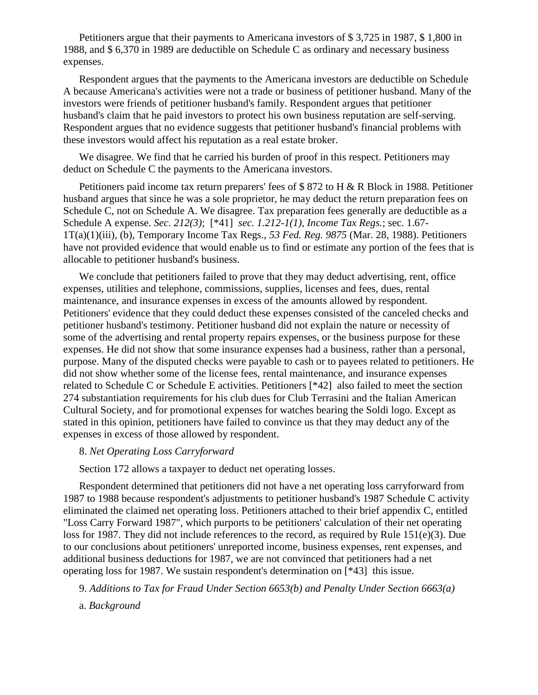Petitioners argue that their payments to Americana investors of \$ 3,725 in 1987, \$ 1,800 in 1988, and \$ 6,370 in 1989 are deductible on Schedule C as ordinary and necessary business expenses.

Respondent argues that the payments to the Americana investors are deductible on Schedule A because Americana's activities were not a trade or business of petitioner husband. Many of the investors were friends of petitioner husband's family. Respondent argues that petitioner husband's claim that he paid investors to protect his own business reputation are self-serving. Respondent argues that no evidence suggests that petitioner husband's financial problems with these investors would affect his reputation as a real estate broker.

We disagree. We find that he carried his burden of proof in this respect. Petitioners may deduct on Schedule C the payments to the Americana investors.

Petitioners paid income tax return preparers' fees of \$ 872 to H & R Block in 1988. Petitioner husband argues that since he was a sole proprietor, he may deduct the return preparation fees on Schedule C, not on Schedule A. We disagree. Tax preparation fees generally are deductible as a Schedule A expense. *Sec. 212(3)*; [\*41] *sec. 1.212-1(1), Income Tax Regs.*; sec. 1.67- 1T(a)(1)(iii), (b), Temporary Income Tax Regs., *53 Fed. Reg. 9875* (Mar. 28, 1988). Petitioners have not provided evidence that would enable us to find or estimate any portion of the fees that is allocable to petitioner husband's business.

We conclude that petitioners failed to prove that they may deduct advertising, rent, office expenses, utilities and telephone, commissions, supplies, licenses and fees, dues, rental maintenance, and insurance expenses in excess of the amounts allowed by respondent. Petitioners' evidence that they could deduct these expenses consisted of the canceled checks and petitioner husband's testimony. Petitioner husband did not explain the nature or necessity of some of the advertising and rental property repairs expenses, or the business purpose for these expenses. He did not show that some insurance expenses had a business, rather than a personal, purpose. Many of the disputed checks were payable to cash or to payees related to petitioners. He did not show whether some of the license fees, rental maintenance, and insurance expenses related to Schedule C or Schedule E activities. Petitioners [\*42] also failed to meet the section 274 substantiation requirements for his club dues for Club Terrasini and the Italian American Cultural Society, and for promotional expenses for watches bearing the Soldi logo. Except as stated in this opinion, petitioners have failed to convince us that they may deduct any of the expenses in excess of those allowed by respondent.

# 8. *Net Operating Loss Carryforward*

Section 172 allows a taxpayer to deduct net operating losses.

Respondent determined that petitioners did not have a net operating loss carryforward from 1987 to 1988 because respondent's adjustments to petitioner husband's 1987 Schedule C activity eliminated the claimed net operating loss. Petitioners attached to their brief appendix C, entitled "Loss Carry Forward 1987", which purports to be petitioners' calculation of their net operating loss for 1987. They did not include references to the record, as required by Rule 151(e)(3). Due to our conclusions about petitioners' unreported income, business expenses, rent expenses, and additional business deductions for 1987, we are not convinced that petitioners had a net operating loss for 1987. We sustain respondent's determination on [\*43] this issue.

9. *Additions to Tax for Fraud Under Section 6653(b) and Penalty Under Section 6663(a)*

a. *Background*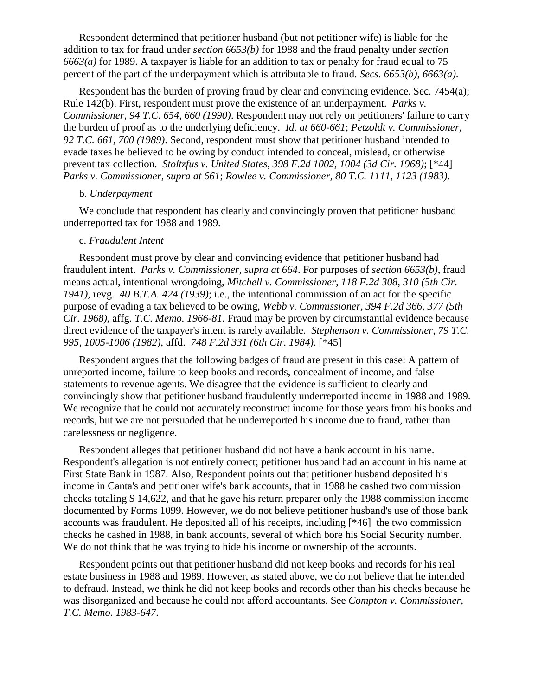Respondent determined that petitioner husband (but not petitioner wife) is liable for the addition to tax for fraud under *section 6653(b)* for 1988 and the fraud penalty under *section 6663(a)* for 1989. A taxpayer is liable for an addition to tax or penalty for fraud equal to 75 percent of the part of the underpayment which is attributable to fraud. *Secs. 6653(b)*, *6663(a)*.

Respondent has the burden of proving fraud by clear and convincing evidence. Sec. 7454(a); Rule 142(b). First, respondent must prove the existence of an underpayment. *Parks v. Commissioner, 94 T.C. 654, 660 (1990)*. Respondent may not rely on petitioners' failure to carry the burden of proof as to the underlying deficiency. *Id. at 660-661*; *Petzoldt v. Commissioner, 92 T.C. 661, 700 (1989)*. Second, respondent must show that petitioner husband intended to evade taxes he believed to be owing by conduct intended to conceal, mislead, or otherwise prevent tax collection. *Stoltzfus v. United States, 398 F.2d 1002, 1004 (3d Cir. 1968)*; [\*44] *Parks v. Commissioner, supra at 661*; *Rowlee v. Commissioner, 80 T.C. 1111, 1123 (1983)*.

# b. *Underpayment*

We conclude that respondent has clearly and convincingly proven that petitioner husband underreported tax for 1988 and 1989.

### c. *Fraudulent Intent*

Respondent must prove by clear and convincing evidence that petitioner husband had fraudulent intent. *Parks v. Commissioner, supra at 664*. For purposes of *section 6653(b)*, fraud means actual, intentional wrongdoing, *Mitchell v. Commissioner, 118 F.2d 308, 310 (5th Cir. 1941)*, revg. *40 B.T.A. 424 (1939)*; i.e., the intentional commission of an act for the specific purpose of evading a tax believed to be owing, *Webb v. Commissioner, 394 F.2d 366, 377 (5th Cir. 1968)*, affg. *T.C. Memo. 1966-81*. Fraud may be proven by circumstantial evidence because direct evidence of the taxpayer's intent is rarely available. *Stephenson v. Commissioner, 79 T.C. 995, 1005-1006 (1982)*, affd. *748 F.2d 331 (6th Cir. 1984)*. [\*45]

Respondent argues that the following badges of fraud are present in this case: A pattern of unreported income, failure to keep books and records, concealment of income, and false statements to revenue agents. We disagree that the evidence is sufficient to clearly and convincingly show that petitioner husband fraudulently underreported income in 1988 and 1989. We recognize that he could not accurately reconstruct income for those years from his books and records, but we are not persuaded that he underreported his income due to fraud, rather than carelessness or negligence.

Respondent alleges that petitioner husband did not have a bank account in his name. Respondent's allegation is not entirely correct; petitioner husband had an account in his name at First State Bank in 1987. Also, Respondent points out that petitioner husband deposited his income in Canta's and petitioner wife's bank accounts, that in 1988 he cashed two commission checks totaling \$ 14,622, and that he gave his return preparer only the 1988 commission income documented by Forms 1099. However, we do not believe petitioner husband's use of those bank accounts was fraudulent. He deposited all of his receipts, including [\*46] the two commission checks he cashed in 1988, in bank accounts, several of which bore his Social Security number. We do not think that he was trying to hide his income or ownership of the accounts.

Respondent points out that petitioner husband did not keep books and records for his real estate business in 1988 and 1989. However, as stated above, we do not believe that he intended to defraud. Instead, we think he did not keep books and records other than his checks because he was disorganized and because he could not afford accountants. See *Compton v. Commissioner, T.C. Memo. 1983-647*.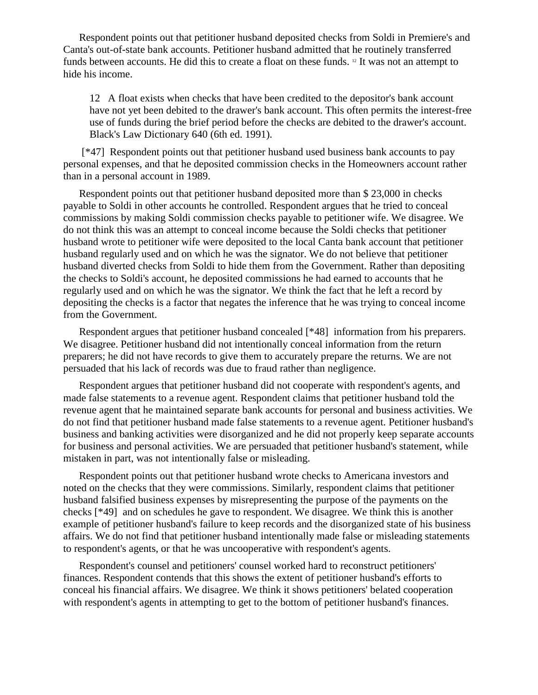Respondent points out that petitioner husband deposited checks from Soldi in Premiere's and Canta's out-of-state bank accounts. Petitioner husband admitted that he routinely transferred funds between accounts. He did this to create a float on these funds. <sup>12</sup> It was not an attempt to hide his income.

12 A float exists when checks that have been credited to the depositor's bank account have not yet been debited to the drawer's bank account. This often permits the interest-free use of funds during the brief period before the checks are debited to the drawer's account. Black's Law Dictionary 640 (6th ed. 1991).

[\*47] Respondent points out that petitioner husband used business bank accounts to pay personal expenses, and that he deposited commission checks in the Homeowners account rather than in a personal account in 1989.

Respondent points out that petitioner husband deposited more than \$ 23,000 in checks payable to Soldi in other accounts he controlled. Respondent argues that he tried to conceal commissions by making Soldi commission checks payable to petitioner wife. We disagree. We do not think this was an attempt to conceal income because the Soldi checks that petitioner husband wrote to petitioner wife were deposited to the local Canta bank account that petitioner husband regularly used and on which he was the signator. We do not believe that petitioner husband diverted checks from Soldi to hide them from the Government. Rather than depositing the checks to Soldi's account, he deposited commissions he had earned to accounts that he regularly used and on which he was the signator. We think the fact that he left a record by depositing the checks is a factor that negates the inference that he was trying to conceal income from the Government.

Respondent argues that petitioner husband concealed [\*48] information from his preparers. We disagree. Petitioner husband did not intentionally conceal information from the return preparers; he did not have records to give them to accurately prepare the returns. We are not persuaded that his lack of records was due to fraud rather than negligence.

Respondent argues that petitioner husband did not cooperate with respondent's agents, and made false statements to a revenue agent. Respondent claims that petitioner husband told the revenue agent that he maintained separate bank accounts for personal and business activities. We do not find that petitioner husband made false statements to a revenue agent. Petitioner husband's business and banking activities were disorganized and he did not properly keep separate accounts for business and personal activities. We are persuaded that petitioner husband's statement, while mistaken in part, was not intentionally false or misleading.

Respondent points out that petitioner husband wrote checks to Americana investors and noted on the checks that they were commissions. Similarly, respondent claims that petitioner husband falsified business expenses by misrepresenting the purpose of the payments on the checks [\*49] and on schedules he gave to respondent. We disagree. We think this is another example of petitioner husband's failure to keep records and the disorganized state of his business affairs. We do not find that petitioner husband intentionally made false or misleading statements to respondent's agents, or that he was uncooperative with respondent's agents.

Respondent's counsel and petitioners' counsel worked hard to reconstruct petitioners' finances. Respondent contends that this shows the extent of petitioner husband's efforts to conceal his financial affairs. We disagree. We think it shows petitioners' belated cooperation with respondent's agents in attempting to get to the bottom of petitioner husband's finances.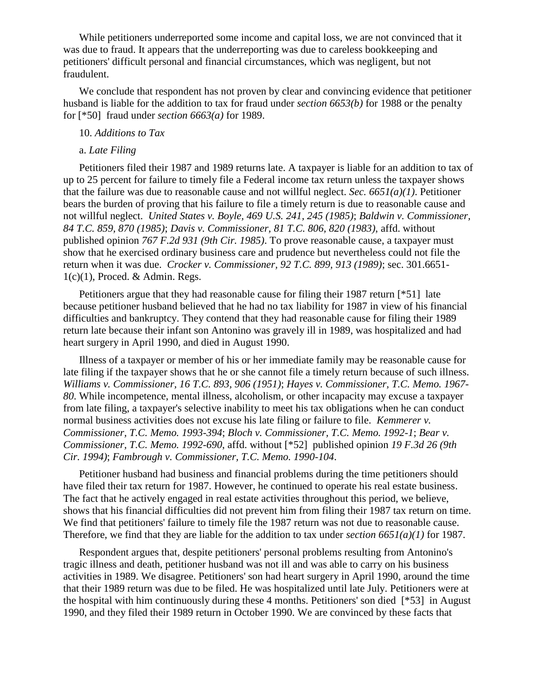While petitioners underreported some income and capital loss, we are not convinced that it was due to fraud. It appears that the underreporting was due to careless bookkeeping and petitioners' difficult personal and financial circumstances, which was negligent, but not fraudulent.

We conclude that respondent has not proven by clear and convincing evidence that petitioner husband is liable for the addition to tax for fraud under *section 6653(b)* for 1988 or the penalty for [\*50] fraud under *section 6663(a)* for 1989.

### 10. *Additions to Tax*

### a. *Late Filing*

Petitioners filed their 1987 and 1989 returns late. A taxpayer is liable for an addition to tax of up to 25 percent for failure to timely file a Federal income tax return unless the taxpayer shows that the failure was due to reasonable cause and not willful neglect. *Sec. 6651(a)(1)*. Petitioner bears the burden of proving that his failure to file a timely return is due to reasonable cause and not willful neglect. *United States v. Boyle, 469 U.S. 241, 245 (1985)*; *Baldwin v. Commissioner, 84 T.C. 859, 870 (1985)*; *Davis v. Commissioner, 81 T.C. 806, 820 (1983)*, affd. without published opinion *767 F.2d 931 (9th Cir. 1985)*. To prove reasonable cause, a taxpayer must show that he exercised ordinary business care and prudence but nevertheless could not file the return when it was due. *Crocker v. Commissioner, 92 T.C. 899, 913 (1989)*; sec. 301.6651-  $1(c)(1)$ , Proced. & Admin. Regs.

Petitioners argue that they had reasonable cause for filing their 1987 return [\*51] late because petitioner husband believed that he had no tax liability for 1987 in view of his financial difficulties and bankruptcy. They contend that they had reasonable cause for filing their 1989 return late because their infant son Antonino was gravely ill in 1989, was hospitalized and had heart surgery in April 1990, and died in August 1990.

Illness of a taxpayer or member of his or her immediate family may be reasonable cause for late filing if the taxpayer shows that he or she cannot file a timely return because of such illness. *Williams v. Commissioner, 16 T.C. 893, 906 (1951)*; *Hayes v. Commissioner, T.C. Memo. 1967- 80*. While incompetence, mental illness, alcoholism, or other incapacity may excuse a taxpayer from late filing, a taxpayer's selective inability to meet his tax obligations when he can conduct normal business activities does not excuse his late filing or failure to file. *Kemmerer v. Commissioner, T.C. Memo. 1993-394*; *Bloch v. Commissioner, T.C. Memo. 1992-1*; *Bear v. Commissioner, T.C. Memo. 1992-690*, affd. without [\*52] published opinion *19 F.3d 26 (9th Cir. 1994)*; *Fambrough v. Commissioner, T.C. Memo. 1990-104*.

Petitioner husband had business and financial problems during the time petitioners should have filed their tax return for 1987. However, he continued to operate his real estate business. The fact that he actively engaged in real estate activities throughout this period, we believe, shows that his financial difficulties did not prevent him from filing their 1987 tax return on time. We find that petitioners' failure to timely file the 1987 return was not due to reasonable cause. Therefore, we find that they are liable for the addition to tax under *section 6651(a)(1)* for 1987.

Respondent argues that, despite petitioners' personal problems resulting from Antonino's tragic illness and death, petitioner husband was not ill and was able to carry on his business activities in 1989. We disagree. Petitioners' son had heart surgery in April 1990, around the time that their 1989 return was due to be filed. He was hospitalized until late July. Petitioners were at the hospital with him continuously during these 4 months. Petitioners' son died [\*53] in August 1990, and they filed their 1989 return in October 1990. We are convinced by these facts that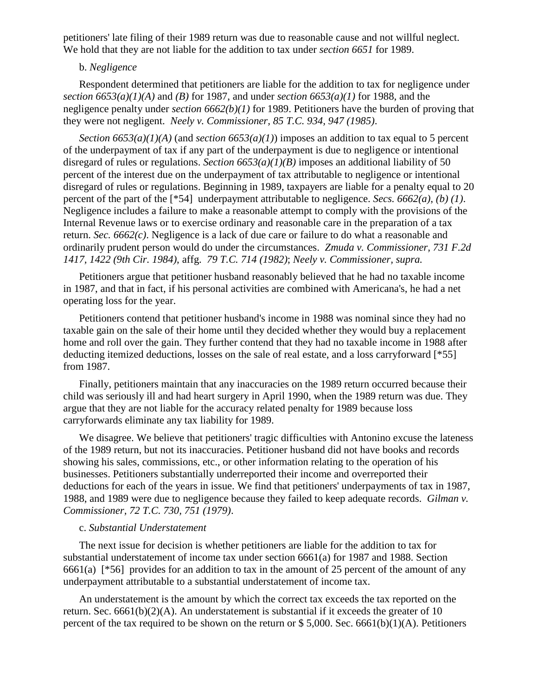petitioners' late filing of their 1989 return was due to reasonable cause and not willful neglect. We hold that they are not liable for the addition to tax under *section 6651* for 1989.

### b. *Negligence*

Respondent determined that petitioners are liable for the addition to tax for negligence under *section 6653(a)(1)(A)* and *(B)* for 1987, and under *section 6653(a)(1)* for 1988, and the negligence penalty under *section 6662(b)(1)* for 1989. Petitioners have the burden of proving that they were not negligent. *Neely v. Commissioner, 85 T.C. 934, 947 (1985)*.

*Section 6653(a)(1)(A)* (and *section 6653(a)(1))* imposes an addition to tax equal to 5 percent of the underpayment of tax if any part of the underpayment is due to negligence or intentional disregard of rules or regulations. *Section 6653(a)(1)(B)* imposes an additional liability of 50 percent of the interest due on the underpayment of tax attributable to negligence or intentional disregard of rules or regulations. Beginning in 1989, taxpayers are liable for a penalty equal to 20 percent of the part of the [\*54] underpayment attributable to negligence. *Secs. 6662(a)*, *(b) (1)*. Negligence includes a failure to make a reasonable attempt to comply with the provisions of the Internal Revenue laws or to exercise ordinary and reasonable care in the preparation of a tax return. *Sec. 6662(c)*. Negligence is a lack of due care or failure to do what a reasonable and ordinarily prudent person would do under the circumstances. *Zmuda v. Commissioner, 731 F.2d 1417, 1422 (9th Cir. 1984)*, affg. *79 T.C. 714 (1982)*; *Neely v. Commissioner, supra.*

Petitioners argue that petitioner husband reasonably believed that he had no taxable income in 1987, and that in fact, if his personal activities are combined with Americana's, he had a net operating loss for the year.

Petitioners contend that petitioner husband's income in 1988 was nominal since they had no taxable gain on the sale of their home until they decided whether they would buy a replacement home and roll over the gain. They further contend that they had no taxable income in 1988 after deducting itemized deductions, losses on the sale of real estate, and a loss carryforward [\*55] from 1987.

Finally, petitioners maintain that any inaccuracies on the 1989 return occurred because their child was seriously ill and had heart surgery in April 1990, when the 1989 return was due. They argue that they are not liable for the accuracy related penalty for 1989 because loss carryforwards eliminate any tax liability for 1989.

We disagree. We believe that petitioners' tragic difficulties with Antonino excuse the lateness of the 1989 return, but not its inaccuracies. Petitioner husband did not have books and records showing his sales, commissions, etc., or other information relating to the operation of his businesses. Petitioners substantially underreported their income and overreported their deductions for each of the years in issue. We find that petitioners' underpayments of tax in 1987, 1988, and 1989 were due to negligence because they failed to keep adequate records. *Gilman v. Commissioner, 72 T.C. 730, 751 (1979)*.

## c. *Substantial Understatement*

The next issue for decision is whether petitioners are liable for the addition to tax for substantial understatement of income tax under section 6661(a) for 1987 and 1988. Section 6661(a) [ $*56$ ] provides for an addition to tax in the amount of 25 percent of the amount of any underpayment attributable to a substantial understatement of income tax.

An understatement is the amount by which the correct tax exceeds the tax reported on the return. Sec.  $6661(b)(2)(A)$ . An understatement is substantial if it exceeds the greater of 10 percent of the tax required to be shown on the return or  $$5,000$ . Sec. 6661(b)(1)(A). Petitioners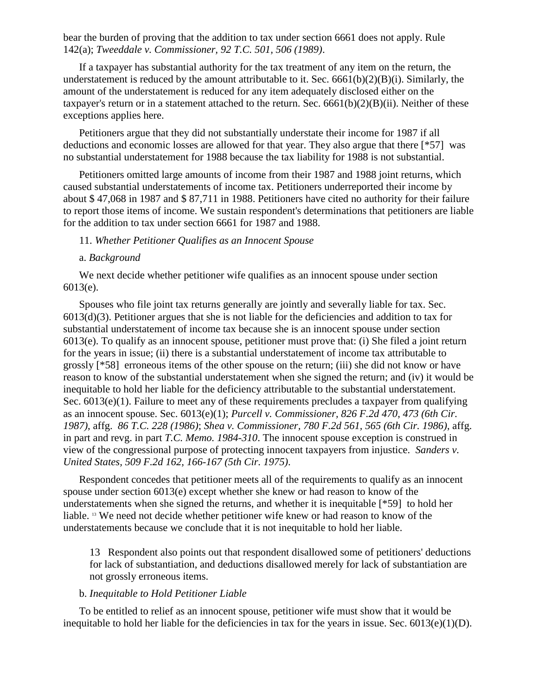bear the burden of proving that the addition to tax under section 6661 does not apply. Rule 142(a); *Tweeddale v. Commissioner, 92 T.C. 501, 506 (1989)*.

If a taxpayer has substantial authority for the tax treatment of any item on the return, the understatement is reduced by the amount attributable to it. Sec.  $6661(b)(2)(B)(i)$ . Similarly, the amount of the understatement is reduced for any item adequately disclosed either on the taxpayer's return or in a statement attached to the return. Sec.  $6661(b)(2)(B)(ii)$ . Neither of these exceptions applies here.

Petitioners argue that they did not substantially understate their income for 1987 if all deductions and economic losses are allowed for that year. They also argue that there [\*57] was no substantial understatement for 1988 because the tax liability for 1988 is not substantial.

Petitioners omitted large amounts of income from their 1987 and 1988 joint returns, which caused substantial understatements of income tax. Petitioners underreported their income by about \$ 47,068 in 1987 and \$ 87,711 in 1988. Petitioners have cited no authority for their failure to report those items of income. We sustain respondent's determinations that petitioners are liable for the addition to tax under section 6661 for 1987 and 1988.

### 11. *Whether Petitioner Qualifies as an Innocent Spouse*

### a. *Background*

We next decide whether petitioner wife qualifies as an innocent spouse under section 6013(e).

Spouses who file joint tax returns generally are jointly and severally liable for tax. Sec. 6013(d)(3). Petitioner argues that she is not liable for the deficiencies and addition to tax for substantial understatement of income tax because she is an innocent spouse under section 6013(e). To qualify as an innocent spouse, petitioner must prove that: (i) She filed a joint return for the years in issue; (ii) there is a substantial understatement of income tax attributable to grossly [\*58] erroneous items of the other spouse on the return; (iii) she did not know or have reason to know of the substantial understatement when she signed the return; and (iv) it would be inequitable to hold her liable for the deficiency attributable to the substantial understatement. Sec.  $6013(e)(1)$ . Failure to meet any of these requirements precludes a taxpayer from qualifying as an innocent spouse. Sec. 6013(e)(1); *Purcell v. Commissioner, 826 F.2d 470, 473 (6th Cir. 1987)*, affg. *86 T.C. 228 (1986)*; *Shea v. Commissioner, 780 F.2d 561, 565 (6th Cir. 1986)*, affg. in part and revg. in part *T.C. Memo. 1984-310*. The innocent spouse exception is construed in view of the congressional purpose of protecting innocent taxpayers from injustice. *Sanders v. United States, 509 F.2d 162, 166-167 (5th Cir. 1975)*.

Respondent concedes that petitioner meets all of the requirements to qualify as an innocent spouse under section 6013(e) except whether she knew or had reason to know of the understatements when she signed the returns, and whether it is inequitable [\*59] to hold her liable. <sup>13</sup> We need not decide whether petitioner wife knew or had reason to know of the understatements because we conclude that it is not inequitable to hold her liable.

13 Respondent also points out that respondent disallowed some of petitioners' deductions for lack of substantiation, and deductions disallowed merely for lack of substantiation are not grossly erroneous items.

## b. *Inequitable to Hold Petitioner Liable*

To be entitled to relief as an innocent spouse, petitioner wife must show that it would be inequitable to hold her liable for the deficiencies in tax for the years in issue. Sec. 6013(e)(1)(D).